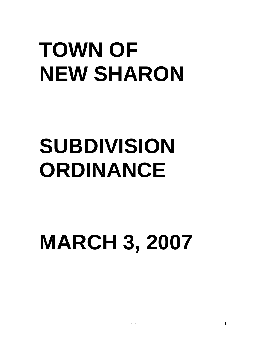# **TOWN OF NEW SHARON**

# **SUBDIVISION ORDINANCE**

# **MARCH 3, 2007**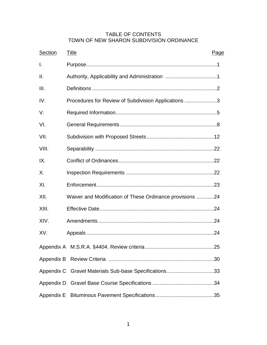### TABLE OF CONTENTS TOWN OF NEW SHARON SUBDIVISION ORDINANCE

| <b>Section</b>  | Title<br>Page                                            |
|-----------------|----------------------------------------------------------|
| Ι.              |                                                          |
| $\mathbf{II}$ . |                                                          |
| III.            |                                                          |
| IV.             | Procedures for Review of Subdivision Applications 3      |
| V.              |                                                          |
| VI.             |                                                          |
| VII.            |                                                          |
| VIII.           |                                                          |
| IX.             |                                                          |
| Χ.              |                                                          |
| XI.             |                                                          |
| XII.            | Waiver and Modification of These Ordinance provisions 24 |
| XIII.           |                                                          |
| XIV.            |                                                          |
| XV.             |                                                          |
|                 |                                                          |
| Appendix B      |                                                          |
|                 | Appendix C Gravel Materials Sub-base Specifications33    |
|                 |                                                          |
|                 |                                                          |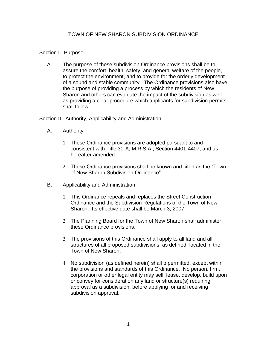#### TOWN OF NEW SHARON SUBDIVISION ORDINANCE

#### Section I. Purpose:

A. The purpose of these subdivision Ordinance provisions shall be to assure the comfort, health, safety, and general welfare of the people, to protect the environment, and to provide for the orderly development of a sound and stable community. The Ordinance provisions also have the purpose of providing a process by which the residents of New Sharon and others can evaluate the impact of the subdivision as well as providing a clear procedure which applicants for subdivision permits shall follow.

Section II. Authority, Applicability and Administration:

- A. Authority
	- 1. These Ordinance provisions are adopted pursuant to and consistent with Title 30-A, M.R.S.A., Section 4401-4407, and as hereafter amended.
	- 2. These Ordinance provisions shall be known and cited as the "Town of New Sharon Subdivision Ordinance".
- B. Applicability and Administration
	- 1. This Ordinance repeals and replaces the Street Construction Ordinance and the Subdivision Regulations of the Town of New Sharon. Its effective date shall be March 3, 2007.
	- 2. The Planning Board for the Town of New Sharon shall administer these Ordinance provisions.
	- 3. The provisions of this Ordinance shall apply to all land and all structures of all proposed subdivisions, as defined, located in the Town of New Sharon.
	- 4. No subdivision (as defined herein) shall b permitted, except within the provisions and standards of this Ordinance. No person, firm, corporation or other legal entity may sell, lease, develop, build upon or convey for consideration any land or structure(s) requiring approval as a subdivision, before applying for and receiving subdivision approval.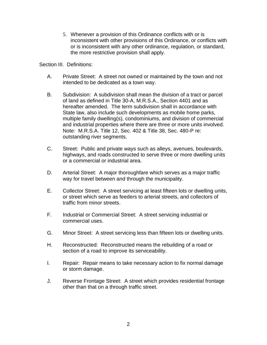5. Whenever a provision of this Ordinance conflicts with or is inconsistent with other provisions of this Ordinance, or conflicts with or is inconsistent with any other ordinance, regulation, or standard, the more restrictive provision shall apply.

Section III. Definitions:

- A. Private Street: A street not owned or maintained by the town and not intended to be dedicated as a town way.
- B. Subdivision: A subdivision shall mean the division of a tract or parcel of land as defined in Title 30-A, M.R.S.A., Section 4401 and as hereafter amended. The term subdivision shall in accordance with State law, also include such developments as mobile home parks, multiple family dwelling(s), condominiums, and division of commercial and industrial properties where there are three or more units involved. Note: M.R.S.A. Title 12, Sec. 402 & Title 38, Sec. 480-P re: outstanding river segments.
- C. Street: Public and private ways such as alleys, avenues, boulevards, highways, and roads constructed to serve three or more dwelling units or a commercial or industrial area.
- D. Arterial Street: A major thoroughfare which serves as a major traffic way for travel between and through the municipality.
- E. Collector Street: A street servicing at least fifteen lots or dwelling units, or street which serve as feeders to arterial streets, and collectors of traffic from minor streets.
- F. Industrial or Commercial Street: A street servicing industrial or commercial uses.
- G. Minor Street: A street servicing less than fifteen lots or dwelling units.
- H. Reconstructed: Reconstructed means the rebuilding of a road or section of a road to improve its serviceability.
- I. Repair: Repair means to take necessary action to fix normal damage or storm damage.
- J. Reverse Frontage Street: A street which provides residential frontage other than that on a through traffic street.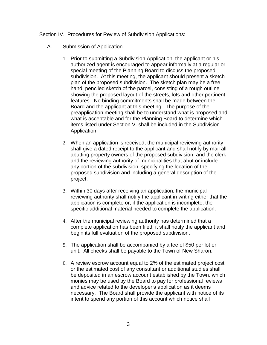#### Section IV. Procedures for Review of Subdivision Applications:

- A. Submission of Application
	- 1. Prior to submitting a Subdivision Application, the applicant or his authorized agent is encouraged to appear informally at a regular or special meeting of the Planning Board to discuss the proposed subdivision. At this meeting, the applicant should present a sketch plan of the proposed subdivision. The sketch plan may be a free hand, penciled sketch of the parcel, consisting of a rough outline showing the proposed layout of the streets, lots and other pertinent features. No binding commitments shall be made between the Board and the applicant at this meeting. The purpose of the preapplication meeting shall be to understand what is proposed and what is acceptable and for the Planning Board to determine which items listed under Section V. shall be included in the Subdivision Application.
	- 2. When an application is received, the municipal reviewing authority shall give a dated receipt to the applicant and shall notify by mail all abutting property owners of the proposed subdivision, and the clerk and the reviewing authority of municipalities that abut or include any portion of the subdivision, specifying the location of the proposed subdivision and including a general description of the project.
	- 3. Within 30 days after receiving an application, the municipal reviewing authority shall notify the applicant in writing either that the application is complete or, if the application is incomplete, the specific additional material needed to complete the application.
	- 4. After the municipal reviewing authority has determined that a complete application has been filed, it shall notify the applicant and begin its full evaluation of the proposed subdivision.
	- 5. The application shall be accompanied by a fee of \$50 per lot or unit. All checks shall be payable to the Town of New Sharon.
	- 6. A review escrow account equal to 2% of the estimated project cost or the estimated cost of any consultant or additional studies shall be deposited in an escrow account established by the Town, which monies may be used by the Board to pay for professional reviews and advice related to the developer's application as it deems necessary. The Board shall provide the applicant with notice of its intent to spend any portion of this account which notice shall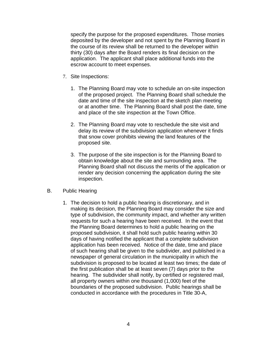specify the purpose for the proposed expenditures. Those monies deposited by the developer and not spent by the Planning Board in the course of its review shall be returned to the developer within thirty (30) days after the Board renders its final decision on the application. The applicant shall place additional funds into the escrow account to meet expenses.

- 7. Site Inspections:
	- 1. The Planning Board may vote to schedule an on-site inspection of the proposed project. The Planning Board shall schedule the date and time of the site inspection at the sketch plan meeting or at another time. The Planning Board shall post the date, time and place of the site inspection at the Town Office.
	- 2. The Planning Board may vote to reschedule the site visit and delay its review of the subdivision application whenever it finds that snow cover prohibits viewing the land features of the proposed site.
	- 3. The purpose of the site inspection is for the Planning Board to obtain knowledge about the site and surrounding area. The Planning Board shall not discuss the merits of the application or render any decision concerning the application during the site inspection.
- B. Public Hearing
	- 1. The decision to hold a public hearing is discretionary, and in making its decision, the Planning Board may consider the size and type of subdivision, the community impact, and whether any written requests for such a hearing have been received. In the event that the Planning Board determines to hold a public hearing on the proposed subdivision, it shall hold such public hearing within 30 days of having notified the applicant that a complete subdivision application has been received. Notice of the date, time and place of such hearing shall be given to the subdivider, and published in a newspaper of general circulation in the municipality in which the subdivision is proposed to be located at least two times; the date of the first publication shall be at least seven (7) days prior to the hearing. The subdivider shall notify, by certified or registered mail, all property owners within one thousand (1,000) feet of the boundaries of the proposed subdivision. Public hearings shall be conducted in accordance with the procedures in Title 30-A,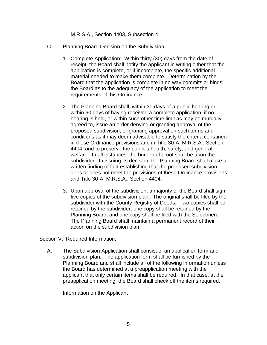M.R.S.A., Section 4403, Subsection 4.

- C. Planning Board Decision on the Subdivision
	- 1. Complete Application: Within thirty (30) days from the date of receipt, the Board shall notify the applicant in writing either that the application is complete, or if incomplete, the specific additional material needed to make them complete. Determination by the Board that the application is complete in no way commits or binds the Board as to the adequacy of the application to meet the requirements of this Ordinance.
	- 2. The Planning Board shall, within 30 days of a public hearing or within 60 days of having received a complete application, if no hearing is held, or within such other time limit as may be mutually agreed to, issue an order denying or granting approval of the proposed subdivision, or granting approval on such terms and conditions as it may deem advisable to satisfy the criteria contained in these Ordinance provisions and in Title 30-A, M.R.S.A., Section 4404, and to preserve the public's health, safety, and general welfare. In all instances, the burden of proof shall be upon the subdivider. In issuing its decision, the Planning Board shall make a written finding of fact establishing that the proposed subdivision does or does not meet the provisions of these Ordinance provisions and Title 30-A, M.R.S.A., Section 4404.
	- 3. Upon approval of the subdivision, a majority of the Board shall sign five copies of the subdivision plan. The original shall be filed by the subdivider with the County Registry of Deeds. Two copies shall be retained by the subdivider, one copy shall be retained by the Planning Board, and one copy shall be filed with the Selectmen. The Planning Board shall maintain a permanent record of their action on the subdivision plan.

Section V. Required Information:

A. The Subdivision Application shall consist of an application form and subdivision plan. The application form shall be furnished by the Planning Board and shall include all of the following information unless the Board has determined at a preapplication meeting with the applicant that only certain items shall be required. In that case, at the preapplication meeting, the Board shall check off the items required.

Information on the Applicant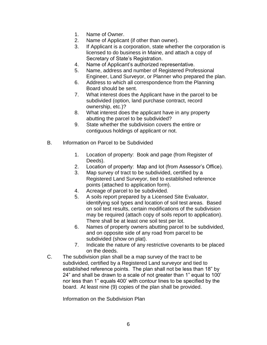- 1. Name of Owner.
- 2. Name of Applicant (if other than owner).
- 3. If Applicant is a corporation, state whether the corporation is licensed to do business in Maine, and attach a copy of Secretary of State's Registration.
- 4. Name of Applicant's authorized representative.
- 5. Name, address and number of Registered Professional Engineer, Land Surveyor, or Planner who prepared the plan.
- 6. Address to which all correspondence from the Planning Board should be sent.
- 7. What interest does the Applicant have in the parcel to be subdivided (option, land purchase contract, record ownership, etc.)?
- 8. What interest does the applicant have in any property abutting the parcel to be subdivided?
- 9. State whether the subdivision covers the entire or contiguous holdings of applicant or not.
- B. Information on Parcel to be Subdivided
	- 1. Location of property: Book and page (from Register of Deeds).
	- 2. Location of property: Map and lot (from Assessor's Office).
	- 3. Map survey of tract to be subdivided, certified by a Registered Land Surveyor, tied to established reference points (attached to application form).
	- 4. Acreage of parcel to be subdivided.
	- 5. A soils report prepared by a Licensed Site Evaluator, identifying soil types and location of soil test areas. Based on soil test results, certain modifications of the subdivision may be required (attach copy of soils report to application). There shall be at least one soil test per lot.
	- 6. Names of property owners abutting parcel to be subdivided, and on opposite side of any road from parcel to be subdivided (show on plat).
	- 7. Indicate the nature of any restrictive covenants to be placed on the deeds.
- C. The subdivision plan shall be a map survey of the tract to be subdivided, certified by a Registered Land surveyor and tied to established reference points. The plan shall not be less than 18" by 24" and shall be drawn to a scale of not greater than 1" equal to 100' nor less than 1" equals 400' with contour lines to be specified by the board. At least nine (9) copies of the plan shall be provided.

Information on the Subdivision Plan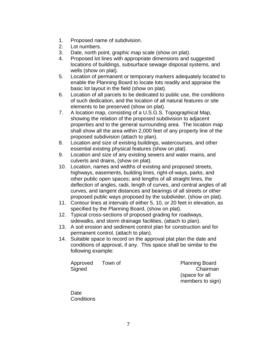- 1. Proposed name of subdivision.
- 2. Lot numbers.
- 3. Date, north point, graphic map scale (show on plat).
- 4. Proposed lot lines with appropriate dimensions and suggested locations of buildings, subsurface sewage disposal systems, and wells (show on plat).
- 5. Location of permanent or temporary markers adequately located to enable the Planning Board to locate lots readily and appraise the basic lot layout in the field (show on plat).
- 6. Location of all parcels to be dedicated to public use, the conditions of such dedication, and the location of all natural features or site elements to be preserved (show on plat).
- 7. A location map, consisting of a U.S.G.S. Topographical Map, showing the relation of the proposed subdivision to adjacent properties and to the general surrounding area. The location map shall show all the area within 2,000 feet of any property line of the proposed subdivision (attach to plan).
- 8. Location and size of existing buildings, watercourses, and other essential existing physical features (show on plat).
- 9. Location and size of any existing sewers and water mains, and culverts and drains, (show on plat).
- 10. Location, names and widths of existing and proposed streets, highways, easements, building lines, right-of-ways, parks, and other public open spaces; and lengths of all straight lines, the deflection of angles, radii, length of curves, and central angles of all curves, and tangent distances and bearings of all streets or other proposed public ways proposed by the subdivider, (show on plat).
- 11. Contour lines at intervals of either 5, 10, or 20 feet in elevation, as specified by the Planning Board, (show on plat).
- 12. Typical cross-sections of proposed grading for roadways, sidewalks, and storm drainage facilities, (attach to plan).
- 13. A soil erosion and sediment control plan for construction and for permanent control, (attach to plan).
- 14. Suitable space to record on the approval plat plan the date and conditions of approval, if any. This space shall be similar to the following example:

Approved Town of Planning Board Signed Chairman

(space for all members to sign)

Date **Conditions**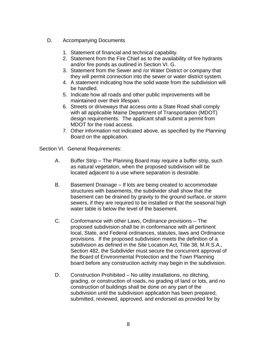- D. Accompanying Documents
	- 1. Statement of financial and technical capability.
	- 2. Statement from the Fire Chief as to the availability of fire hydrants and/or fire ponds as outlined in Section VI. G.
	- 3. Statement from the Sewer and /or Water District or company that they will permit connection into the sewer or water district system.
	- 4. A statement indicating how the solid waste from the subdivision will be handled.
	- 5. Indicate how all roads and other public improvements will be maintained over their lifespan.
	- 6. Streets or driveways that access onto a State Road shall comply with all applicable Maine Department of Transportation (MDOT) design requirements. The applicant shall submit a permit from MDOT for the road access.
	- 7. Other information not indicated above, as specified by the Planning Board on the application.

Section VI. General Requirements:

- A. Buffer Strip The Planning Board may require a buffer strip, such as natural vegetation, when the proposed subdivision will be located adjacent to a use where separation is desirable.
- B. Basement Drainage If lots are being created to accommodate structures with basements, the subdivider shall show that the basement can be drained by gravity to the ground surface, or storm sewers, if they are required to be installed or that the seasonal high water table is below the level of the basement.
- C. Conformance with other Laws, Ordinance provisions The proposed subdivision shall be in conformance with all pertinent local, State, and Federal ordinances, statutes, laws and Ordinance provisions. If the proposed subdivision meets the definition of a subdivision as defined in the Site Location Act, Title 38, M.R.S.A., Section 482, the Subdivider must secure the concurrent approval of the Board of Environmental Protection and the Town Planning board before any construction activity may begin in the subdivision.
- D. Construction Prohibited No utility installations, no ditching, grading, or construction of roads, no grading of land or lots, and no construction of buildings shall be done on any part of the subdivision until the subdivision application has been prepared, submitted, reviewed, approved, and endorsed as provided for by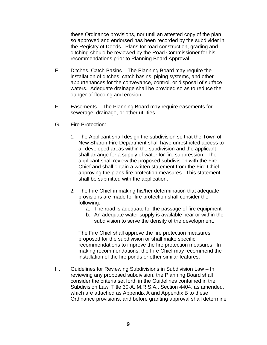these Ordinance provisions, nor until an attested copy of the plan so approved and endorsed has been recorded by the subdivider in the Registry of Deeds. Plans for road construction, grading and ditching should be reviewed by the Road Commissioner for his recommendations prior to Planning Board Approval.

- E. Ditches, Catch Basins The Planning Board may require the installation of ditches, catch basins, piping systems, and other appurtenances for the conveyance, control, or disposal of surface waters. Adequate drainage shall be provided so as to reduce the danger of flooding and erosion.
- F. Easements The Planning Board may require easements for sewerage, drainage, or other utilities.
- G. Fire Protection:
	- 1. The Applicant shall design the subdivision so that the Town of New Sharon Fire Department shall have unrestricted access to all developed areas within the subdivision and the applicant shall arrange for a supply of water for fire suppression. The applicant shall review the proposed subdivision with the Fire Chief and shall obtain a written statement from the Fire Chief approving the plans fire protection measures. This statement shall be submitted with the application.
	- 2. The Fire Chief in making his/her determination that adequate provisions are made for fire protection shall consider the following:
		- a. The road is adequate for the passage of fire equipment
		- b. An adequate water supply is available near or within the subdivision to serve the density of the development.

The Fire Chief shall approve the fire protection measures proposed for the subdivision or shall make specific recommendations to improve the fire protection measures. In making recommendations, the Fire Chief may recommend the installation of the fire ponds or other similar features.

H. Guidelines for Reviewing Subdivisions in Subdivision Law – In reviewing any proposed subdivision, the Planning Board shall consider the criteria set forth in the Guidelines contained in the Subdivision Law, Title 30-A, M.R.S.A., Section 4404, as amended, which are attached as Appendix A and Appendix B to these Ordinance provisions, and before granting approval shall determine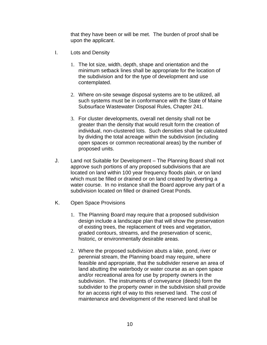that they have been or will be met. The burden of proof shall be upon the applicant.

- I. Lots and Density
	- 1. The lot size, width, depth, shape and orientation and the minimum setback lines shall be appropriate for the location of the subdivision and for the type of development and use contemplated.
	- 2. Where on-site sewage disposal systems are to be utilized, all such systems must be in conformance with the State of Maine Subsurface Wastewater Disposal Rules, Chapter 241.
	- 3. For cluster developments, overall net density shall not be greater than the density that would result form the creation of individual, non-clustered lots. Such densities shall be calculated by dividing the total acreage within the subdivision (including open spaces or common recreational areas) by the number of proposed units.
- J. Land not Suitable for Development The Planning Board shall not approve such portions of any proposed subdivisions that are located on land within 100 year frequency floods plain, or on land which must be filled or drained or on land created by diverting a water course. In no instance shall the Board approve any part of a subdivision located on filled or drained Great Ponds.
- K. Open Space Provisions
	- 1. The Planning Board may require that a proposed subdivision design include a landscape plan that will show the preservation of existing trees, the replacement of trees and vegetation, graded contours, streams, and the preservation of scenic, historic, or environmentally desirable areas.
	- 2. Where the proposed subdivision abuts a lake, pond, river or perennial stream, the Planning board may require, where feasible and appropriate, that the subdivider reserve an area of land abutting the waterbody or water course as an open space and/or recreational area for use by property owners in the subdivision. The instruments of conveyance (deeds) form the subdivider to the property owner in the subdivision shall provide for an access right of way to this reserved land. The cost of maintenance and development of the reserved land shall be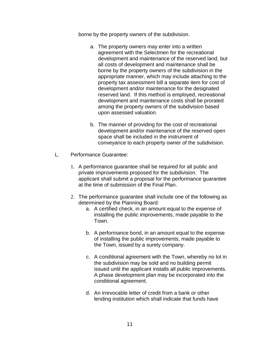borne by the property owners of the subdivision.

- a. The property owners may enter into a written agreement with the Selectmen for the recreational development and maintenance of the reserved land, but all costs of development and maintenance shall be borne by the property owners of the subdivision in the appropriate manner, which may include attaching to the property tax assessment bill a separate item for cost of development and/or maintenance for the designated reserved land. If this method is employed, recreational development and maintenance costs shall be prorated among the property owners of the subdivision based upon assessed valuation.
- b. The manner of providing for the cost of recreational development and/or maintenance of the reserved open space shall be included in the instrument of conveyance to each property owner of the subdivision.
- L. Performance Guarantee:
	- 1. A performance guarantee shall be required for all public and private improvements proposed for the subdivision. The applicant shall submit a proposal for the performance guarantee at the time of submission of the Final Plan.
	- 2. The performance guarantee shall include one of the following as determined by the Planning Board:
		- a. A certified check, in an amount equal to the expense of installing the public improvements, made payable to the Town.
		- b. A performance bond, in an amount equal to the expense of installing the public improvements, made payable to the Town, issued by a surety company.
		- c. A conditional agreement with the Town, whereby no lot in the subdivision may be sold and no building permit issued until the applicant installs all public improvements. A phase development plan may be incorporated into the conditional agreement.
		- d. An irrevocable letter of credit from a bank or other lending institution which shall indicate that funds have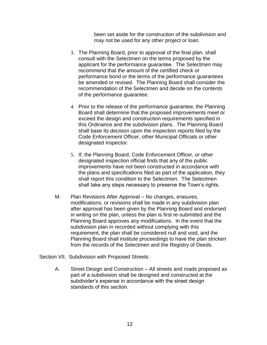been set aside for the construction of the subdivision and may not be used for any other project or loan.

- 3. The Planning Board, prior to approval of the final plan, shall consult with the Selectmen on the terms proposed by the applicant for the performance guarantee. The Selectmen may recommend that the amount of the certified check or performance bond or the terms of the performance guarantees be amended or revised. The Planning Board shall consider the recommendation of the Selectmen and decide on the contents of the performance guarantee.
- 4. Prior to the release of the performance guarantee, the Planning Board shall determine that the proposed improvements meet or exceed the design and construction requirements specified in this Ordinance and the subdivision plans. The Planning Board shall base its decision upon the inspection reports filed by the Code Enforcement Officer, other Municipal Officials or other designated inspector.
- 5. If, the Planning Board, Code Enforcement Officer, or other designated inspection official finds that any of the public improvements have not been constructed in accordance with the plans and specifications filed as part of the application, they shall report this condition to the Selectmen. The Selectmen shall take any steps necessary to preserve the Town's rights.
- M. Plan Revisions After Approval No changes, erasures, modifications, or revisions shall be made in any subdivision plan after approval has been given by the Planning Board and endorsed in writing on the plan, unless the plan is first re-submitted and the Planning Board approves any modifications. In the event that the subdivision plan in recorded without complying with this requirement, the plan shall be considered null and void, and the Planning Board shall institute proceedings to have the plan stricken from the records of the Selectmen and the Registry of Deeds.
- Section VII. Subdivision with Proposed Streets:
	- A. Street Design and Construction All streets and roads proposed as part of a subdivision shall be designed and constructed at the subdivider's expense in accordance with the street design standards of this section.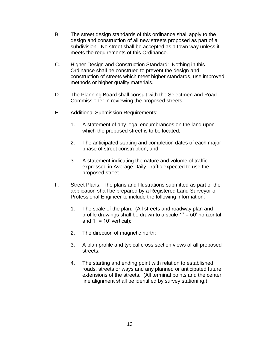- B. The street design standards of this ordinance shall apply to the design and construction of all new streets proposed as part of a subdivision. No street shall be accepted as a town way unless it meets the requirements of this Ordinance.
- C. Higher Design and Construction Standard: Nothing in this Ordinance shall be construed to prevent the design and construction of streets which meet higher standards, use improved methods or higher quality materials.
- D. The Planning Board shall consult with the Selectmen and Road Commissioner in reviewing the proposed streets.
- E. Additional Submission Requirements:
	- 1. A statement of any legal encumbrances on the land upon which the proposed street is to be located;
	- 2. The anticipated starting and completion dates of each major phase of street construction; and
	- 3. A statement indicating the nature and volume of traffic expressed in Average Daily Traffic expected to use the proposed street.
- F. Street Plans: The plans and Illustrations submitted as part of the application shall be prepared by a Registered Land Surveyor or Professional Engineer to include the following information.
	- 1. The scale of the plan. (All streets and roadway plan and profile drawings shall be drawn to a scale 1" = 50' horizontal and  $1" = 10'$  vertical);
	- 2. The direction of magnetic north;
	- 3. A plan profile and typical cross section views of all proposed streets;
	- 4. The starting and ending point with relation to established roads, streets or ways and any planned or anticipated future extensions of the streets. (All terminal points and the center line alignment shall be identified by survey stationing.);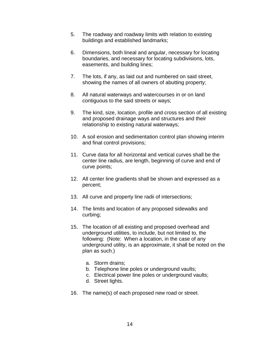- 5. The roadway and roadway limits with relation to existing buildings and established landmarks;
- 6. Dimensions, both lineal and angular, necessary for locating boundaries, and necessary for locating subdivisions, lots, easements, and building lines;
- 7. The lots, if any, as laid out and numbered on said street, showing the names of all owners of abutting property;
- 8. All natural waterways and watercourses in or on land contiguous to the said streets or ways;
- 9. The kind, size, location, profile and cross section of all existing and proposed drainage ways and structures and their relationship to existing natural waterways;
- 10. A soil erosion and sedimentation control plan showing interim and final control provisions;
- 11. Curve data for all horizontal and vertical curves shall be the center line radius, are length, beginning of curve and end of curve points;
- 12. All center line gradients shall be shown and expressed as a percent;
- 13. All curve and property line radii of intersections;
- 14. The limits and location of any proposed sidewalks and curbing;
- 15. The location of all existing and proposed overhead and underground utilities, to include, but not limited to, the following: (Note: When a location, in the case of any underground utility, is an approximate, it shall be noted on the plan as such.)
	- a. Storm drains;
	- b. Telephone line poles or underground vaults;
	- c. Electrical power line poles or underground vaults;
	- d. Street lights.
- 16. The name(s) of each proposed new road or street.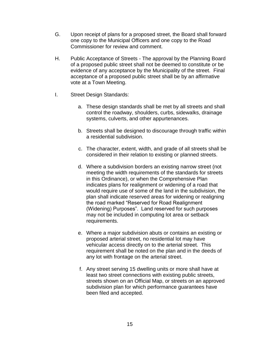- G. Upon receipt of plans for a proposed street, the Board shall forward one copy to the Municipal Officers and one copy to the Road Commissioner for review and comment.
- H. Public Acceptance of Streets The approval by the Planning Board of a proposed public street shall not be deemed to constitute or be evidence of any acceptance by the Municipality of the street. Final acceptance of a proposed public street shall be by an affirmative vote at a Town Meeting.
- I. Street Design Standards:
	- a. These design standards shall be met by all streets and shall control the roadway, shoulders, curbs, sidewalks, drainage systems, culverts, and other appurtenances.
	- b. Streets shall be designed to discourage through traffic within a residential subdivision.
	- c. The character, extent, width, and grade of all streets shall be considered in their relation to existing or planned streets.
	- d. Where a subdivision borders an existing narrow street (not meeting the width requirements of the standards for streets in this Ordinance), or when the Comprehensive Plan indicates plans for realignment or widening of a road that would require use of some of the land in the subdivision, the plan shall indicate reserved areas for widening or realigning the road marked "Reserved for Road Realignment (Widening) Purposes". Land reserved for such purposes may not be included in computing lot area or setback requirements.
	- e. Where a major subdivision abuts or contains an existing or proposed arterial street, no residential lot may have vehicular access directly on to the arterial street. This requirement shall be noted on the plan and in the deeds of any lot with frontage on the arterial street.
	- f. Any street serving 15 dwelling units or more shall have at least two street connections with existing public streets, streets shown on an Official Map, or streets on an approved subdivision plan for which performance guarantees have been filed and accepted.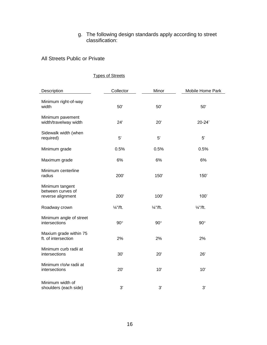#### g. The following design standards apply according to street classification:

#### All Streets Public or Private

# Description **Collector** Collector Minor Mobile Home Park Minimum right-of-way width 50' 50' 50' Minimum pavement width/travelway width  $24'$  20' 20-24' Sidewalk width (when required) 5' 5' 5' Minimum grade 0.5% 0.5% 0.5% Maximum grade 6% 6% 6% 6% 6% Minimum centerline<br>radius radius 200' 150' 150' Minimum tangent between curves of reverse alignment 200' 100' 100' 100' Roadway crown  $\frac{1}{4}$ "/ft.  $\frac{1}{4}$ "/ft.  $\frac{1}{4}$ "/ft.  $\frac{1}{4}$ "/ft. Minimum angle of street intersections 90 90 90 Maxium grade within 75 ft. of intersection 2% 2% 2% Minimum curb radii at intersections 30' 20' 26' Minimum r/o/w radii at intersections 20' 10' 10' Minimum width of shoulders (each side) 3' 3' 3'

#### Types of Streets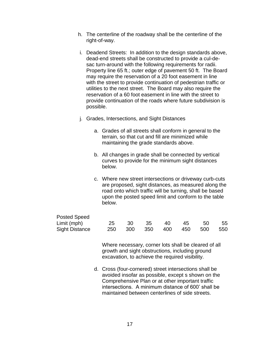- h. The centerline of the roadway shall be the centerline of the right-of-way.
- i. Deadend Streets: In addition to the design standards above, dead-end streets shall be constructed to provide a cul-desac turn-around with the following requirements for radii. Property line 65 ft.; outer edge of pavement 50 ft. The Board may require the reservation of a 20 foot easement in line with the street to provide continuation of pedestrian traffic or utilities to the next street. The Board may also require the reservation of a 60 foot easement in line with the street to provide continuation of the roads where future subdivision is possible.
- j. Grades, Intersections, and Sight Distances
	- a. Grades of all streets shall conform in general to the terrain, so that cut and fill are minimized while maintaining the grade standards above.
	- b. All changes in grade shall be connected by vertical curves to provide for the minimum sight distances below.
	- c. Where new street intersections or driveway curb-cuts are proposed, sight distances, as measured along the road onto which traffic will be turning, shall be based upon the posted speed limit and conform to the table below.

| <b>Posted Speed</b>   |  |                             |  |      |
|-----------------------|--|-----------------------------|--|------|
| Limit (mph)           |  | 25 30 35 40 45 50           |  | - 55 |
| <b>Sight Distance</b> |  | 250 300 350 400 450 500 550 |  |      |

Where necessary, corner lots shall be cleared of all growth and sight obstructions, including ground excavation, to achieve the required visibility.

d. Cross (four-cornered) street intersections shall be avoided insofar as possible, except s shown on the Comprehensive Plan or at other important traffic intersections. A minimum distance of 600' shall be maintained between centerlines of side streets.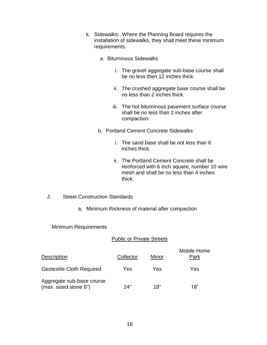- k. Sidewalks: Where the Planning Board requires the installation of sidewalks, they shall meet these minimum requirements.
	- a. Bituminous Sidewalks
		- i. The gravel aggregate sub-base course shall be no less then 12 inches thick.
		- ii. The crushed aggregate base course shall be no less than 2 inches thick.
		- iii. The hot bituminous pavement surface course shall be no less than 2 inches after compaction.
	- b. Portland Cement Concrete Sidewalks
		- i. The sand base shall be not less than 6 inches thick.
		- ii. The Portland Cement Concrete shall be reinforced with 6 inch square, number 10 wire mesh and shall be no less than 4 inches thick.
- J. Street Construction Standards
	- a. Minimum thickness of material after compaction

Minimum Requirements

#### Public or Private Streets

| <b>Description</b>                                 | Collector | Minor | Mobile Home<br>Park |
|----------------------------------------------------|-----------|-------|---------------------|
| <b>Geotextile Cloth Required</b>                   | Yes       | Yes   | Yes                 |
| Aggregate sub-base course<br>(max. sized stone 6") | 24"       | 18"   | 18"                 |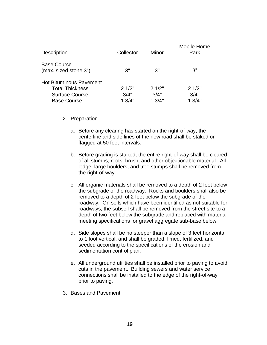| <b>Description</b>                          | Collector | Minor  | Mobile Home<br>Park |
|---------------------------------------------|-----------|--------|---------------------|
| <b>Base Course</b><br>(max. sized stone 3") | 3"        | 3"     | 3"                  |
| <b>Hot Bituminous Pavement</b>              |           |        |                     |
| <b>Total Thickness</b>                      | 21/2"     | 21/2"  | 21/2"               |
| <b>Surface Course</b>                       | 3/4"      | 3/4"   | 3/4"                |
| <b>Base Course</b>                          | 13/4"     | 1.3/4" | 13/4"               |

- 2. Preparation
	- a. Before any clearing has started on the right-of-way, the centerline and side lines of the new road shall be staked or flagged at 50 foot intervals.
	- b. Before grading is started, the entire right-of-way shall be cleared of all stumps, roots, brush, and other objectionable material. All ledge, large boulders, and tree stumps shall be removed from the right-of-way.
	- c. All organic materials shall be removed to a depth of 2 feet below the subgrade of the roadway. Rocks and boulders shall also be removed to a depth of 2 feet below the subgrade of the roadway. On soils which have been identified as not suitable for roadways, the subsoil shall be removed from the street site to a depth of two feet below the subgrade and replaced with material meeting specifications for gravel aggregate sub-base below.
	- d. Side slopes shall be no steeper than a slope of 3 feet horizontal to 1 foot vertical, and shall be graded, limed, fertilized, and seeded according to the specifications of the erosion and sedimentation control plan.
	- e. All underground utilities shall be installed prior to paving to avoid cuts in the pavement. Building sewers and water service connections shall be installed to the edge of the right-of-way prior to paving.
- 3. Bases and Pavement.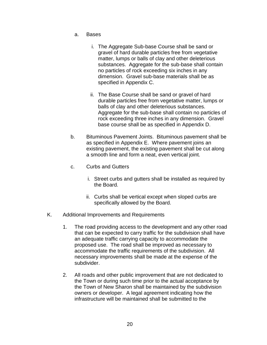- a. Bases
	- i. The Aggregate Sub-base Course shall be sand or gravel of hard durable particles free from vegetative matter, lumps or balls of clay and other deleterious substances. Aggregate for the sub-base shall contain no particles of rock exceeding six inches in any dimension. Gravel sub-base materials shall be as specified in Appendix C.
	- ii. The Base Course shall be sand or gravel of hard durable particles free from vegetative matter, lumps or balls of clay and other deleterious substances. Aggregate for the sub-base shall contain no particles of rock exceeding three inches in any dimension. Gravel base course shall be as specified in Appendix D.
- b. Bituminous Pavement Joints. Bituminous pavement shall be as specified in Appendix E. Where pavement joins an existing pavement, the existing pavement shall be cut along a smooth line and form a neat, even vertical joint.
- c. Curbs and Gutters
	- i. Street curbs and gutters shall be installed as required by the Board.
	- ii. Curbs shall be vertical except when sloped curbs are specifically allowed by the Board.
- K. Additional Improvements and Requirements
	- 1. The road providing access to the development and any other road that can be expected to carry traffic for the subdivision shall have an adequate traffic carrying capacity to accommodate the proposed use. The road shall be improved as necessary to accommodate the traffic requirements of the subdivision. All necessary improvements shall be made at the expense of the subdivider.
	- 2. All roads and other public improvement that are not dedicated to the Town or during such time prior to the actual acceptance by the Town of New Sharon shall be maintained by the subdivision owners or developer. A legal agreement indicating how the infrastructure will be maintained shall be submitted to the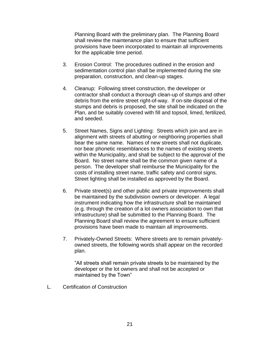Planning Board with the preliminary plan. The Planning Board shall review the maintenance plan to ensure that sufficient provisions have been incorporated to maintain all improvements for the applicable time period.

- 3. Erosion Control: The procedures outlined in the erosion and sedimentation control plan shall be implemented during the site preparation, construction, and clean-up stages.
- 4. Cleanup: Following street construction, the developer or contractor shall conduct a thorough clean-up of stumps and other debris from the entire street right-of-way. If on-site disposal of the stumps and debris is proposed, the site shall be indicated on the Plan, and be suitably covered with fill and topsoil, limed, fertilized, and seeded.
- 5. Street Names, Signs and Lighting: Streets which join and are in alignment with streets of abutting or neighboring properties shall bear the same name. Names of new streets shall not duplicate, nor bear phonetic resemblances to the names of existing streets within the Municipality, and shall be subject to the approval of the Board. No street name shall be the common given name of a person. The developer shall reimburse the Municipality for the costs of installing street name, traffic safety and control signs. Street lighting shall be installed as approved by the Board.
- 6. Private street(s) and other public and private improvements shall be maintained by the subdivision owners or developer. A legal instrument indicating how the infrastructure shall be maintained (e.g. through the creation of a lot owners association to own that infrastructure) shall be submitted to the Planning Board. The Planning Board shall review the agreement to ensure sufficient provisions have been made to maintain all improvements.
- 7. Privately-Owned Streets: Where streets are to remain privatelyowned streets, the following words shall appear on the recorded plan.

"All streets shall remain private streets to be maintained by the developer or the lot owners and shall not be accepted or maintained by the Town"

L. Certification of Construction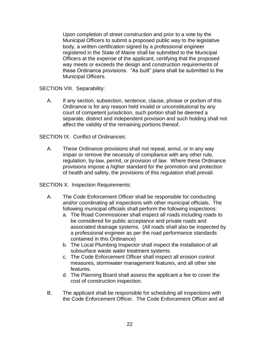Upon completion of street construction and prior to a vote by the Municipal Officers to submit a proposed public way to the legislative body, a written certification signed by a professional engineer registered in the State of Maine shall be submitted to the Municipal Officers at the expense of the applicant, certifying that the proposed way meets or exceeds the design and construction requirements of these Ordinance provisions. "As built" plans shall be submitted to the Municipal Officers.

SECTION VIII. Separability:

A. If any section, subsection, sentence, clause, phrase or portion of this Ordinance is for any reason held invalid or unconstitutional by any court of competent jurisdiction, such portion shall be deemed a separate, distinct and independent provision and such holding shall not affect the validity of the remaining portions thereof.

SECTION IX. Conflict of Ordinances:

A. These Ordinance provisions shall not repeal, annul, or in any way impair or remove the necessity of compliance with any other rule, regulation, by-law, permit, or provision of law. Where these Ordinance provisions impose a higher standard for the promotion and protection of health and safety, the provisions of this regulation shall prevail.

SECTION X. Inspection Requirements:

- A. The Code Enforcement Officer shall be responsible for conducting and/or coordinating all inspections with other municipal officials. The following municipal officials shall perform the following inspections:
	- a. The Road Commissioner shall inspect all roads including roads to be considered for public acceptance and private roads and associated drainage systems. (All roads shall also be inspected by a professional engineer as per the road performance standards contained in this Ordinance)
	- b. The Local Plumbing Inspector shall inspect the installation of all subsurface waste water treatment systems.
	- c. The Code Enforcement Officer shall inspect all erosion control measures, stormwater management features, and all other site features.
	- d. The Planning Board shall assess the applicant a fee to cover the cost of construction inspection.
- B. The applicant shall be responsible for scheduling all inspections with the Code Enforcement Officer. The Code Enforcement Officer and all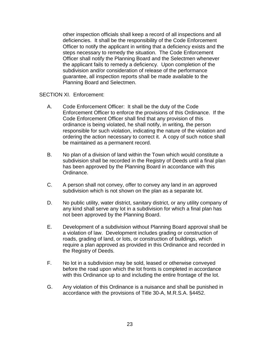other inspection officials shall keep a record of all inspections and all deficiencies. It shall be the responsibility of the Code Enforcement Officer to notify the applicant in writing that a deficiency exists and the steps necessary to remedy the situation. The Code Enforcement Officer shall notify the Planning Board and the Selectmen whenever the applicant fails to remedy a deficiency. Upon completion of the subdivision and/or consideration of release of the performance guarantee, all inspection reports shall be made available to the Planning Board and Selectmen.

SECTION XI. Enforcement:

- A. Code Enforcement Officer: It shall be the duty of the Code Enforcement Officer to enforce the provisions of this Ordinance. If the Code Enforcement Officer shall find that any provision of this ordinance is being violated, he shall notify, in writing, the person responsible for such violation, indicating the nature of the violation and ordering the action necessary to correct it. A copy of such notice shall be maintained as a permanent record.
- B. No plan of a division of land within the Town which would constitute a subdivision shall be recorded in the Registry of Deeds until a final plan has been approved by the Planning Board in accordance with this Ordinance.
- C. A person shall not convey, offer to convey any land in an approved subdivision which is not shown on the plan as a separate lot.
- D. No public utility, water district, sanitary district, or any utility company of any kind shall serve any lot in a subdivision for which a final plan has not been approved by the Planning Board.
- E. Development of a subdivision without Planning Board approval shall be a violation of law. Development includes grading or construction of roads, grading of land, or lots, or construction of buildings, which require a plan approved as provided in this Ordinance and recorded in the Registry of Deeds.
- F. No lot in a subdivision may be sold, leased or otherwise conveyed before the road upon which the lot fronts is completed in accordance with this Ordinance up to and including the entire frontage of the lot.
- G. Any violation of this Ordinance is a nuisance and shall be punished in accordance with the provisions of Title 30-A, M.R.S.A. §4452.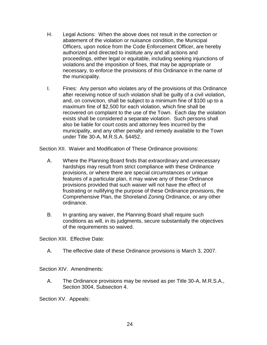- H. Legal Actions: When the above does not result in the correction or abatement of the violation or nuisance condition, the Municipal Officers, upon notice from the Code Enforcement Officer, are hereby authorized and directed to institute any and all actions and proceedings, either legal or equitable, including seeking injunctions of violations and the imposition of fines, that may be appropriate or necessary, to enforce the provisions of this Ordinance in the name of the municipality.
- I. Fines: Any person who violates any of the provisions of this Ordinance after receiving notice of such violation shall be guilty of a civil violation, and, on conviction, shall be subject to a minimum fine of \$100 up to a maximum fine of \$2,500 for each violation, which fine shall be recovered on complaint to the use of the Town. Each day the violation exists shall be considered a separate violation. Such persons shall also be liable for court costs and attorney fees incurred by the municipality, and any other penalty and remedy available to the Town under Title 30-A, M.R.S.A. §4452.

Section XII. Waiver and Modification of These Ordinance provisions:

- A. Where the Planning Board finds that extraordinary and unnecessary hardships may result from strict compliance with these Ordinance provisions, or where there are special circumstances or unique features of a particular plan, it may waive any of these Ordinance provisions provided that such waiver will not have the effect of frustrating or nullifying the purpose of these Ordinance provisions, the Comprehensive Plan, the Shoreland Zoning Ordinance, or any other ordinance.
- B. In granting any waiver, the Planning Board shall require such conditions as will, in its judgments, secure substantially the objectives of the requirements so waived.

Section XIII. Effective Date:

A. The effective date of these Ordinance provisions is March 3, 2007.

Section XIV. Amendments:

A. The Ordinance provisions may be revised as per Title 30-A, M.R.S.A., Section 3004, Subsection 4.

Section XV. Appeals: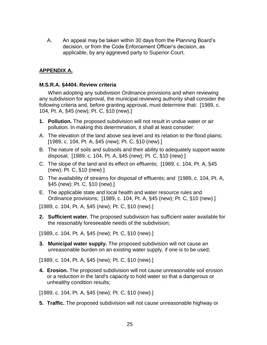A. An appeal may be taken within 30 days from the Planning Board's decision, or from the Code Enforcement Officer's decision, as applicable, by any aggrieved party to Superior Court.

# **APPENDIX A.**

#### **M.S.R.A. §4404. Review criteria**

When adopting any subdivision Ordinance provisions and when reviewing any subdivision for approval, the municipal reviewing authority shall consider the following criteria and, before granting approval, must determine that: [1989, c. 104, Pt. A, §45 (new); Pt. C, §10 (new).]

- **1. Pollution.** The proposed subdivision will not result in undue water or air pollution. In making this determination, it shall at least consider:
- A. The elevation of the land above sea level and its relation to the flood plains; [1989, c. 104, Pt. A, §45 (new); Pt. C, §10 (new).]
- B. The nature of soils and subsoils and their ability to adequately support waste disposal; [1989, c. 104, Pt. A, §45 (new); Pt. C, §10 (new).]
- C. The slope of the land and its effect on effluents; [1989, c. 104, Pt. A, §45 (new); Pt. C, §10 (new).]
- D. The availability of streams for disposal of effluents; and [1989, c. 104, Pt. A, §45 (new); Pt. C, §10 (new).]
- E. The applicable state and local health and water resource rules and Ordinance provisions; [1989, c. 104, Pt. A, §45 (new); Pt. C, §10 (new).]

[1989, c. 104, Pt. A, §45 (new); Pt. C, §10 (new).]

**2. Sufficient water.** The proposed subdivision has sufficient water available for the reasonably foreseeable needs of the subdivision;

[1989, c. 104, Pt. A, §45 (new); Pt. C, §10 (new).]

**3. Municipal water supply.** The proposed subdivision will not cause an unreasonable burden on an existing water supply, if one is to be used;

[1989, c. 104, Pt. A, §45 (new); Pt. C, §10 (new).]

**4. Erosion.** The proposed subdivision will not cause unreasonable soil erosion or a reduction in the land's capacity to hold water so that a dangerous or unhealthy condition results;

[1989, c. 104, Pt. A, §45 (new); Pt. C, §10 (new).]

**5. Traffic.** The proposed subdivision will not cause unreasonable highway or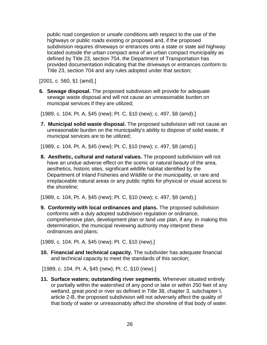public road congestion or unsafe conditions with respect to the use of the highways or public roads existing or proposed and, if the proposed subdivision requires driveways or entrances onto a state or state aid highway located outside the urban compact area of an urban compact municipality as defined by Title 23, section 754, the Department of Transportation has provided documentation indicating that the driveways or entrances conform to Title 23, section 704 and any rules adopted under that section;

[2001, c. 560, §1 (amd).]

**6. Sewage disposal.** The proposed subdivision will provide for adequate sewage waste disposal and will not cause an unreasonable burden on municipal services if they are utilized;

[1989, c. 104, Pt. A, §45 (new); Pt. C, §10 (new); c. 497, §8 (amd).]

**7. Municipal solid waste disposal.** The proposed subdivision will not cause an unreasonable burden on the municipality's ability to dispose of solid waste, if municipal services are to be utilized;

[1989, c. 104, Pt. A, §45 (new); Pt. C, §10 (new); c. 497, §8 (amd).]

**8. Aesthetic, cultural and natural values.** The proposed subdivision will not have an undue adverse effect on the scenic or natural beauty of the area, aesthetics, historic sites, significant wildlife habitat identified by the Department of Inland Fisheries and Wildlife or the municipality, or rare and irreplaceable natural areas or any public rights for physical or visual access to the shoreline;

[1989, c. 104, Pt. A, §45 (new); Pt. C, §10 (new); c. 497, §8 (amd).]

**9. Conformity with local ordinances and plans.** The proposed subdivision conforms with a duly adopted subdivision regulation or ordinance, comprehensive plan, development plan or land use plan, if any. In making this determination, the municipal reviewing authority may interpret these ordinances and plans;

[1989, c. 104, Pt. A, §45 (new); Pt. C, §10 (new).]

**10. Financial and technical capacity.** The subdivider has adequate financial and technical capacity to meet the standards of this section;

[1989, c. 104, Pt. A, §45 (new); Pt. C, §10 (new).]

**11. Surface waters; outstanding river segments.** Whenever situated entirely or partially within the watershed of any pond or lake or within 250 feet of any wetland, great pond or river as defined in Title 38, chapter 3, subchapter I, article 2-B, the proposed subdivision will not adversely affect the quality of that body of water or unreasonably affect the shoreline of that body of water.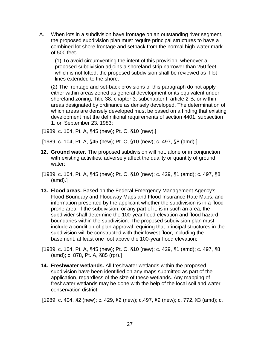A. When lots in a subdivision have frontage on an outstanding river segment, the proposed subdivision plan must require principal structures to have a combined lot shore frontage and setback from the normal high-water mark of 500 feet.

(1) To avoid circumventing the intent of this provision, whenever a proposed subdivision adjoins a shoreland strip narrower than 250 feet which is not lotted, the proposed subdivision shall be reviewed as if lot lines extended to the shore.

(2) The frontage and set-back provisions of this paragraph do not apply either within areas zoned as general development or its equivalent under shoreland zoning, Title 38, chapter 3, subchapter I, article 2-B, or within areas designated by ordinance as densely developed. The determination of which areas are densely developed must be based on a finding that existing development met the definitional requirements of section 4401, subsection 1, on September 23, 1983;

[1989, c. 104, Pt. A, §45 (new); Pt. C, §10 (new).]

[1989, c. 104, Pt. A, §45 (new); Pt. C, §10 (new); c. 497, §8 (amd).]

- **12. Ground water.** The proposed subdivision will not, alone or in conjunction with existing activities, adversely affect the quality or quantity of ground water;
- [1989, c. 104, Pt. A, §45 (new); Pt. C, §10 (new); c. 429, §1 (amd); c. 497, §8 (amd).]
- **13. Flood areas.** Based on the Federal Emergency Management Agency's Flood Boundary and Floodway Maps and Flood Insurance Rate Maps, and information presented by the applicant whether the subdivision is in a floodprone area. If the subdivision, or any part of it, is in such an area, the subdivider shall determine the 100-year flood elevation and flood hazard boundaries within the subdivision. The proposed subdivision plan must include a condition of plan approval requiring that principal structures in the subdivision will be constructed with their lowest floor, including the basement, at least one foot above the 100-year flood elevation;
- [1989, c. 104, Pt. A, §45 (new); Pt. C, §10 (new); c. 429, §1 (amd); c. 497, §8 (amd); c. 878, Pt. A, §85 (rpr).]
- **14. Freshwater wetlands.** All freshwater wetlands within the proposed subdivision have been identified on any maps submitted as part of the application, regardless of the size of these wetlands. Any mapping of freshwater wetlands may be done with the help of the local soil and water conservation district;

[1989, c. 404, §2 (new); c. 429, §2 (new); c.497, §9 (new); c. 772, §3 (amd); c.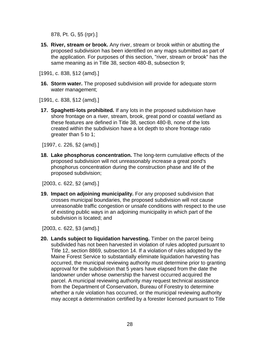878, Pt. G, §5 (rpr).]

**15. River, stream or brook.** Any river, stream or brook within or abutting the proposed subdivision has been identified on any maps submitted as part of the application. For purposes of this section, "river, stream or brook" has the same meaning as in Title 38, section 480-B, subsection 9;

[1991, c. 838, §12 (amd).]

**16. Storm water.** The proposed subdivision will provide for adequate storm water management;

[1991, c. 838, §12 (amd).]

**17. Spaghetti-lots prohibited.** If any lots in the proposed subdivision have shore frontage on a river, stream, brook, great pond or coastal wetland as these features are defined in Title 38, section 480-B, none of the lots created within the subdivision have a lot depth to shore frontage ratio greater than 5 to 1;

[1997, c. 226, §2 (amd).]

**18. Lake phosphorus concentration.** The long-term cumulative effects of the proposed subdivision will not unreasonably increase a great pond's phosphorus concentration during the construction phase and life of the proposed subdivision;

[2003, c. 622, §2 (amd).]

**19. Impact on adjoining municipality.** For any proposed subdivision that crosses municipal boundaries, the proposed subdivision will not cause unreasonable traffic congestion or unsafe conditions with respect to the use of existing public ways in an adjoining municipality in which part of the subdivision is located; and

[2003, c. 622, §3 (amd).]

**20. Lands subject to liquidation harvesting.** Timber on the parcel being subdivided has not been harvested in violation of rules adopted pursuant to Title 12, section 8869, subsection 14. If a violation of rules adopted by the Maine Forest Service to substantially eliminate liquidation harvesting has occurred, the municipal reviewing authority must determine prior to granting approval for the subdivision that 5 years have elapsed from the date the landowner under whose ownership the harvest occurred acquired the parcel. A municipal reviewing authority may request technical assistance from the Department of Conservation, Bureau of Forestry to determine whether a rule violation has occurred, or the municipal reviewing authority may accept a determination certified by a forester licensed pursuant to Title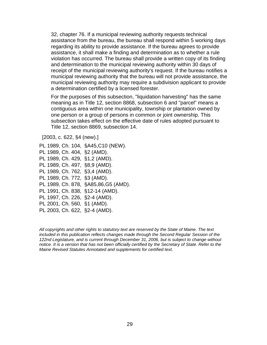32, chapter 76. If a municipal reviewing authority requests technical assistance from the bureau, the bureau shall respond within 5 working days regarding its ability to provide assistance. If the bureau agrees to provide assistance, it shall make a finding and determination as to whether a rule violation has occurred. The bureau shall provide a written copy of its finding and determination to the municipal reviewing authority within 30 days of receipt of the municipal reviewing authority's request. If the bureau notifies a municipal reviewing authority that the bureau will not provide assistance, the municipal reviewing authority may require a subdivision applicant to provide a determination certified by a licensed forester.

For the purposes of this subsection, "liquidation harvesting" has the same meaning as in Title 12, section 8868, subsection 6 and "parcel" means a contiguous area within one municipality, township or plantation owned by one person or a group of persons in common or joint ownership. This subsection takes effect on the effective date of rules adopted pursuant to Title 12, section 8869, subsection 14.

[2003, c. 622, §4 (new).]

PL 1989, Ch. 104, §A45,C10 (NEW). PL 1989, Ch. 404, §2 (AMD). PL 1989, Ch. 429, §1,2 (AMD). PL 1989, Ch. 497, §8,9 (AMD). PL 1989, Ch. 762, §3,4 (AMD). PL 1989, Ch. 772, §3 (AMD). PL 1989, Ch. 878, §A85,86,G5 (AMD). PL 1991, Ch. 838, §12-14 (AMD). PL 1997, Ch. 226, §2-4 (AMD). PL 2001, Ch. 560, §1 (AMD). PL 2003, Ch. 622, §2-4 (AMD).

*All copyrights and other rights to statutory text are reserved by the State of Maine. The text included in this publication reflects changes made through the Second Regular Session of the 122nd Legislature, and is current through December 31, 2006, but is subject to change without notice. It is a version that has not been officially certified by the Secretary of State. Refer to the Maine Revised Statutes Annotated and supplements for certified text.*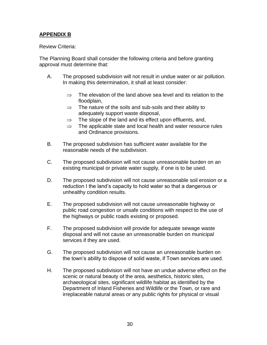# **APPENDIX B**

#### Review Criteria:

The Planning Board shall consider the following criteria and before granting approval must determine that:

- A. The proposed subdivision will not result in undue water or air pollution. In making this determination, it shall at least consider:
	- $\Rightarrow$  The elevation of the land above sea level and its relation to the floodplain,
	- $\Rightarrow$  The nature of the soils and sub-soils and their ability to adequately support waste disposal,
	- $\Rightarrow$  The slope of the land and its effect upon effluents, and,
	- $\Rightarrow$  The applicable state and local health and water resource rules and Ordinance provisions.
- B. The proposed subdivision has sufficient water available for the reasonable needs of the subdivision.
- C. The proposed subdivision will not cause unreasonable burden on an existing municipal or private water supply, if one is to be used.
- D. The proposed subdivision will not cause unreasonable soil erosion or a reduction I the land's capacity to hold water so that a dangerous or unhealthy condition results.
- E. The proposed subdivision will not cause unreasonable highway or public road congestion or unsafe conditions with respect to the use of the highways or public roads existing or proposed.
- F. The proposed subdivision will provide for adequate sewage waste disposal and will not cause an unreasonable burden on municipal services if they are used.
- G. The proposed subdivision will not cause an unreasonable burden on the town's ability to dispose of solid waste, if Town services are used.
- H. The proposed subdivision will not have an undue adverse effect on the scenic or natural beauty of the area, aesthetics, historic sites, archaeological sites, significant wildlife habitat as identified by the Department of Inland Fisheries and Wildlife or the Town, or rare and irreplaceable natural areas or any public rights for physical or visual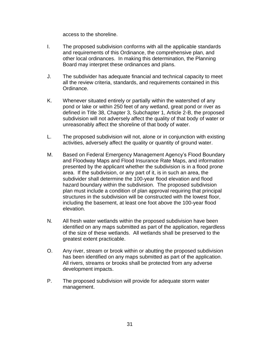access to the shoreline.

- I. The proposed subdivision conforms with all the applicable standards and requirements of this Ordinance, the comprehensive plan, and other local ordinances. In making this determination, the Planning Board may interpret these ordinances and plans.
- J. The subdivider has adequate financial and technical capacity to meet all the review criteria, standards, and requirements contained in this Ordinance.
- K. Whenever situated entirely or partially within the watershed of any pond or lake or within 250 feet of any wetland, great pond or river as defined in Title 38, Chapter 3, Subchapter 1, Article 2-B, the proposed subdivision will not adversely affect the quality of that body of water or unreasonably affect the shoreline of that body of water.
- L. The proposed subdivision will not, alone or in conjunction with existing activities, adversely affect the quality or quantity of ground water.
- M. Based on Federal Emergency Management Agency's Flood Boundary and Floodway Maps and Flood Insurance Rate Maps, and information presented by the applicant whether the subdivision is in a flood prone area. If the subdivision, or any part of it, is in such an area, the subdivider shall determine the 100-year flood elevation and flood hazard boundary within the subdivision. The proposed subdivision plan must include a condition of plan approval requiring that principal structures in the subdivision will be constructed with the lowest floor, including the basement, at least one foot above the 100-year flood elevation.
- N. All fresh water wetlands within the proposed subdivision have been identified on any maps submitted as part of the application, regardless of the size of these wetlands. All wetlands shall be preserved to the greatest extent practicable.
- O. Any river, stream or brook within or abutting the proposed subdivision has been identified on any maps submitted as part of the application. All rivers, streams or brooks shall be protected from any adverse development impacts.
- P. The proposed subdivision will provide for adequate storm water management.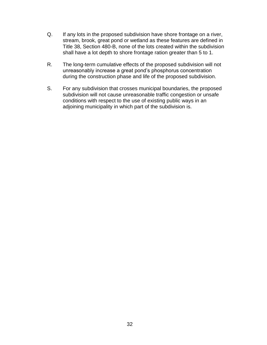- Q. If any lots in the proposed subdivision have shore frontage on a river, stream, brook, great pond or wetland as these features are defined in Title 38, Section 480-B, none of the lots created within the subdivision shall have a lot depth to shore frontage ration greater than 5 to 1.
- R. The long-term cumulative effects of the proposed subdivision will not unreasonably increase a great pond's phosphorus concentration during the construction phase and life of the proposed subdivision.
- S. For any subdivision that crosses municipal boundaries, the proposed subdivision will not cause unreasonable traffic congestion or unsafe conditions with respect to the use of existing public ways in an adjoining municipality in which part of the subdivision is.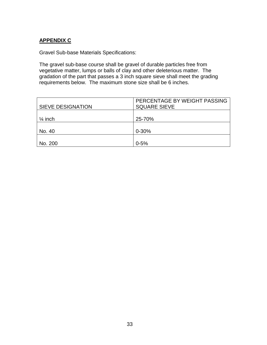# **APPENDIX C**

Gravel Sub-base Materials Specifications:

The gravel sub-base course shall be gravel of durable particles free from vegetative matter, lumps or balls of clay and other deleterious matter. The gradation of the part that passes a 3 inch square sieve shall meet the grading requirements below. The maximum stone size shall be 6 inches.

| <b>SIEVE DESIGNATION</b> | PERCENTAGE BY WEIGHT PASSING<br><b>SQUARE SIEVE</b> |
|--------------------------|-----------------------------------------------------|
| $\frac{1}{4}$ inch       | 25-70%                                              |
| No. 40                   | $0 - 30%$                                           |
| No. 200                  | $0 - 5%$                                            |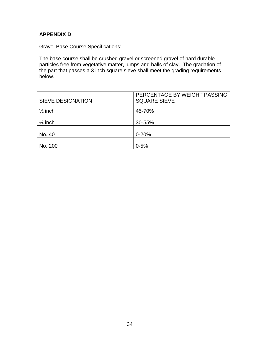## **APPENDIX D**

Gravel Base Course Specifications:

The base course shall be crushed gravel or screened gravel of hard durable particles free from vegetative matter, lumps and balls of clay. The gradation of the part that passes a 3 inch square sieve shall meet the grading requirements below.

| <b>SIEVE DESIGNATION</b> | PERCENTAGE BY WEIGHT PASSING<br><b>SQUARE SIEVE</b> |
|--------------------------|-----------------------------------------------------|
| $\frac{1}{2}$ inch       | 45-70%                                              |
| $\frac{1}{4}$ inch       | 30-55%                                              |
| No. 40                   | $0 - 20%$                                           |
| No. 200                  | $0 - 5%$                                            |